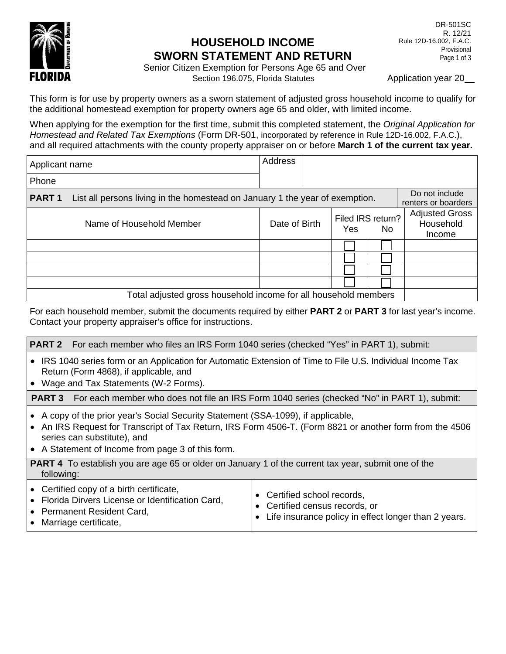

## **HOUSEHOLD INCOME SWORN STATEMENT AND RETURN**

Senior Citizen Exemption for Persons Age 65 and Over Section 196.075, Florida Statutes Application year 20

This form is for use by property owners as a sworn statement of adjusted gross household income to qualify for the additional homestead exemption for property owners age 65 and older, with limited income.

When applying for the exemption for the first time, submit this completed statement, the *Original Application for Homestead and Related Tax Exemptions* (Form DR-501, incorporated by reference in Rule 12D-16.002, F.A.C.), and all required attachments with the county property appraiser on or before **March 1 of the current tax year.**

| Applicant name                                                  |                                                                                                | Address       |  |                          |     |                                              |
|-----------------------------------------------------------------|------------------------------------------------------------------------------------------------|---------------|--|--------------------------|-----|----------------------------------------------|
| Phone                                                           |                                                                                                |               |  |                          |     |                                              |
| <b>PART1</b>                                                    | Do not include<br>List all persons living in the homestead on January 1 the year of exemption. |               |  |                          |     | renters or boarders                          |
|                                                                 | Name of Household Member                                                                       | Date of Birth |  | Filed IRS return?<br>Yes | No. | <b>Adjusted Gross</b><br>Household<br>Income |
|                                                                 |                                                                                                |               |  |                          |     |                                              |
|                                                                 |                                                                                                |               |  |                          |     |                                              |
|                                                                 |                                                                                                |               |  |                          |     |                                              |
|                                                                 |                                                                                                |               |  |                          |     |                                              |
| Total adjusted gross household income for all household members |                                                                                                |               |  |                          |     |                                              |

For each household member, submit the documents required by either **PART 2** or **PART 3** for last year's income. Contact your property appraiser's office for instructions.

**PART 2** For each member who files an IRS Form 1040 series (checked "Yes" in PART 1), submit:

- IRS 1040 series form or an Application for Automatic Extension of Time to File U.S. Individual Income Tax Return (Form 4868), if applicable, and
- Wage and Tax Statements (W-2 Forms).

**PART 3** For each member who does not file an IRS Form 1040 series (checked "No" in PART 1), submit:

- A copy of the prior year's Social Security Statement (SSA-1099), if applicable,
- An IRS Request for Transcript of Tax Return, IRS Form 4506-T. (Form 8821 or another form from the 4506 series can substitute), and
- A Statement of Income from page 3 of this form.

**PART 4** To establish you are age 65 or older on January 1 of the current tax year, submit one of the following:

- Certified copy of a birth certificate,
	- Florida Dirvers License or Identification Card,
	- Permanent Resident Card,
	- Marriage certificate,
- Certified school records, • Certified census records, or
- Life insurance policy in effect longer than 2 years.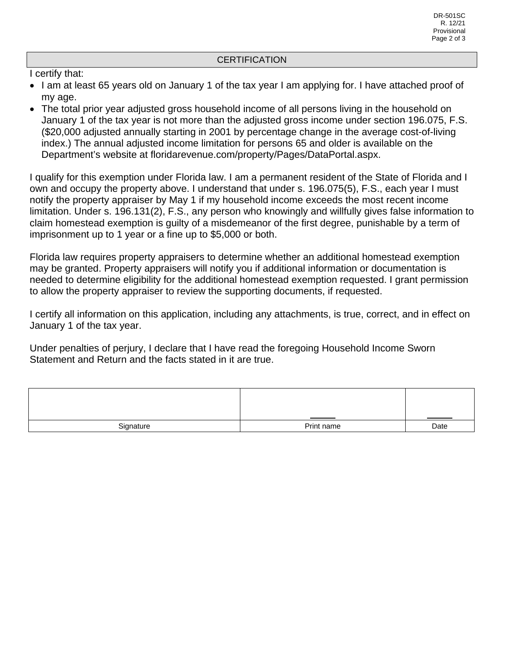## **CERTIFICATION**

I certify that:

- I am at least 65 years old on January 1 of the tax year I am applying for. I have attached proof of my age.
- The total prior year adjusted gross household income of all persons living in the household on January 1 of the tax year is not more than the adjusted gross income under section 196.075, F.S. (\$20,000 adjusted annually starting in 2001 by percentage change in the average cost-of-living index.) The annual adjusted income limitation for persons 65 and older is available on the Department's website at floridarevenue.com/property/Pages/DataPortal.aspx.

I qualify for this exemption under Florida law. I am a permanent resident of the State of Florida and I own and occupy the property above. I understand that under s. 196.075(5), F.S., each year I must notify the property appraiser by May 1 if my household income exceeds the most recent income limitation. Under s. 196.131(2), F.S., any person who knowingly and willfully gives false information to claim homestead exemption is guilty of a misdemeanor of the first degree, punishable by a term of imprisonment up to 1 year or a fine up to \$5,000 or both.

Florida law requires property appraisers to determine whether an additional homestead exemption may be granted. Property appraisers will notify you if additional information or documentation is needed to determine eligibility for the additional homestead exemption requested. I grant permission to allow the property appraiser to review the supporting documents, if requested.

I certify all information on this application, including any attachments, is true, correct, and in effect on January 1 of the tax year.

Under penalties of perjury, I declare that I have read the foregoing Household Income Sworn Statement and Return and the facts stated in it are true.

|           |            | and the control of the control of |
|-----------|------------|-----------------------------------|
| Signature | Print name | Date                              |